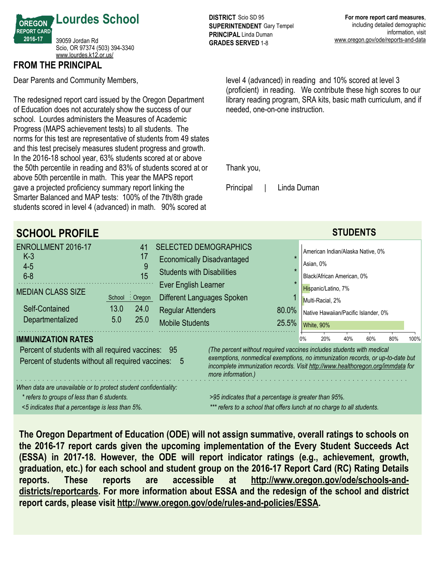

# **FROM THE PRINCIPAL**

Dear Parents and Community Members,

The redesigned report card issued by the Oregon Department of Education does not accurately show the success of our school. Lourdes administers the Measures of Academic Progress (MAPS achievement tests) to all students. The norms for this test are representative of students from 49 states and this test precisely measures student progress and growth. In the 2016-18 school year, 63% students scored at or above the 50th percentile in reading and 83% of students scored at or above 50th percentile in math. This year the MAPS report gave a projected proficiency summary report linking the Smarter Balanced and MAP tests: 100% of the 7th/8th grade students scored in level 4 (advanced) in math. 90% scored at

**DISTRICT** Scio SD 95 **SUPERINTENDENT** Gary Tempel **PRINCIPAL** Linda Duman **GRADES SERVED** 1-8

level 4 (advanced) in reading and 10% scored at level 3 (proficient) in reading. We contribute these high scores to our library reading program, SRA kits, basic math curriculum, and if needed, one-on-one instruction.

Thank you,

Principal | Linda Duman

| <b>SCHOOL PROFILE</b>                                                                                                                                              |                                                                                                                                |                                                                                                                                                                                                                                                                               |  |       |                                                                                 | <b>STUDENTS</b> |  |  |  |  |
|--------------------------------------------------------------------------------------------------------------------------------------------------------------------|--------------------------------------------------------------------------------------------------------------------------------|-------------------------------------------------------------------------------------------------------------------------------------------------------------------------------------------------------------------------------------------------------------------------------|--|-------|---------------------------------------------------------------------------------|-----------------|--|--|--|--|
| ENROLLMENT 2016-17<br>$K-3$<br>$4-5$<br>$6 - 8$                                                                                                                    | 41<br>17<br>9<br>15                                                                                                            | <b>SELECTED DEMOGRAPHICS</b><br><b>Economically Disadvantaged</b><br><b>Students with Disabilities</b>                                                                                                                                                                        |  |       | American Indian/Alaska Native, 0%<br>Asian, 0%<br>Black/African American, 0%    |                 |  |  |  |  |
| <b>MEDIAN CLASS SIZE</b><br>Self-Contained                                                                                                                         | $:$ Oregon<br>School<br>13.0<br>24.0                                                                                           | Ever English Learner<br>Different Languages Spoken<br><b>Regular Attenders</b>                                                                                                                                                                                                |  | 80.0% | Hispanic/Latino, 7%<br>Multi-Racial, 2%<br>Native Hawaiian/Pacific Islander, 0% |                 |  |  |  |  |
| Departmentalized                                                                                                                                                   | 25.0<br>5.0                                                                                                                    | <b>Mobile Students</b><br>25.5%<br>White, 90%<br>20%<br>40%<br>60%<br>0%                                                                                                                                                                                                      |  |       |                                                                                 |                 |  |  |  |  |
| <b>IMMUNIZATION RATES</b><br>Percent of students with all required vaccines: 95<br>Percent of students without all required vaccines: 5                            |                                                                                                                                | 80%<br>100%<br>(The percent without required vaccines includes students with medical<br>exemptions, nonmedical exemptions, no immunization records, or up-to-date but<br>incomplete immunization records. Visit http://www.healthoregon.org/immdata for<br>more information.) |  |       |                                                                                 |                 |  |  |  |  |
| When data are unavailable or to protect student confidentiality:<br>* refers to groups of less than 6 students.<br><5 indicates that a percentage is less than 5%. | >95 indicates that a percentage is greater than 95%.<br>*** refers to a school that offers lunch at no charge to all students. |                                                                                                                                                                                                                                                                               |  |       |                                                                                 |                 |  |  |  |  |

**The Oregon Department of Education (ODE) will not assign summative, overall ratings to schools on the 2016-17 report cards given the upcoming implementation of the Every Student Succeeds Act (ESSA) in 2017-18. However, the ODE will report indicator ratings (e.g., achievement, growth, graduation, etc.) for each school and student group on the 2016-17 Report Card (RC) Rating Details reports. These reports are accessible at http://www.oregon.gov/ode/schools-anddistricts/reportcards. For more information about ESSA and the redesign of the school and district report cards, please visit http://www.oregon.gov/ode/rules-and-policies/ESSA.**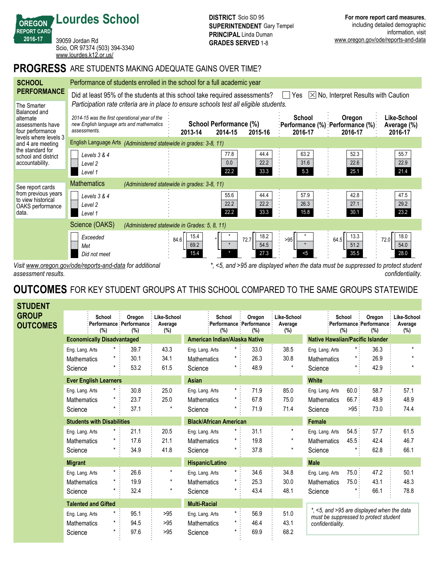39059 Jordan Rd Scio, OR 97374 (503) 394-3340 <www.lourdes.k12.or.us/>

**Lourdes School**

*confidentiality.*

## **PROGRESS** ARE STUDENTS MAKING ADEQUATE GAINS OVER TIME?

| <b>SCHOOL</b>                                                                                                                                                                                | Performance of students enrolled in the school for a full academic year                                                                                                                              |                                              |                                              |                      |                                                         |                              |  |  |  |  |
|----------------------------------------------------------------------------------------------------------------------------------------------------------------------------------------------|------------------------------------------------------------------------------------------------------------------------------------------------------------------------------------------------------|----------------------------------------------|----------------------------------------------|----------------------|---------------------------------------------------------|------------------------------|--|--|--|--|
| <b>PERFORMANCE</b>                                                                                                                                                                           | Did at least 95% of the students at this school take required assessments?<br>$[\times]$ No, Interpret Results with Caution<br>Yes                                                                   |                                              |                                              |                      |                                                         |                              |  |  |  |  |
| The Smarter<br>Balanced and<br>alternate<br>assessments have<br>four performance<br>levels where levels 3<br>and 4 are meeting<br>the standard for<br>school and district<br>accountability. | Participation rate criteria are in place to ensure schools test all eligible students.<br>2014-15 was the first operational year of the<br>new English language arts and mathematics<br>assessments. |                                              | School Performance (%)                       | School<br>2016-17    | Oregon<br>:Performance (%) :Performance (%):<br>2016-17 | Like-School<br>Average (%)   |  |  |  |  |
|                                                                                                                                                                                              | 2014-15<br>2015-16<br>2016-17<br>2013-14<br>English Language Arts (Administered statewide in grades: 3-8, 11)                                                                                        |                                              |                                              |                      |                                                         |                              |  |  |  |  |
|                                                                                                                                                                                              | Levels 3 & 4<br>Level 2<br>Level 1                                                                                                                                                                   |                                              | 44.4<br>77.8<br>22.2<br>0.0<br>33.3<br>22.2  | 63.2<br>31.6<br>5.3  | 52.3<br>22.6<br>25.1                                    | 55.7<br>22.9<br>21.4         |  |  |  |  |
| See report cards<br>from previous years<br>to view historical<br>OAKS performance<br>data.                                                                                                   | <b>Mathematics</b>                                                                                                                                                                                   | (Administered statewide in grades: 3-8, 11)  |                                              |                      |                                                         |                              |  |  |  |  |
|                                                                                                                                                                                              | Levels 3 & 4<br>Level 2<br>Level 1                                                                                                                                                                   |                                              | 55.6<br>44.4<br>22.2<br>22.2<br>33.3<br>22.2 | 57.9<br>26.3<br>15.8 | 42.8<br>27.1<br>30.1                                    | 47.5<br>29.2<br>23.2         |  |  |  |  |
|                                                                                                                                                                                              | Science (OAKS)                                                                                                                                                                                       | (Administered statewide in Grades: 5, 8, 11) |                                              |                      |                                                         |                              |  |  |  |  |
|                                                                                                                                                                                              | Exceeded<br>Met<br>Did not meet                                                                                                                                                                      | 15.4<br>84.6<br>69.2<br>15.4                 | 18.2<br>72.7<br>54.5<br>27.3                 | >95<br>5<            | 13.3<br>64.5<br>51.2<br>35.5                            | 18.0<br>72.0<br>54.0<br>28.0 |  |  |  |  |
| Visit www.oregon.gov/ode/reports-and-data for additional<br>*, <5, and >95 are displayed when the data must be suppressed to protect student                                                 |                                                                                                                                                                                                      |                                              |                                              |                      |                                                         |                              |  |  |  |  |

*assessment results.*

**OREGON REPORT CARD 2016-17**

# **OUTCOMES** FOR KEY STUDENT GROUPS AT THIS SCHOOL COMPARED TO THE SAME GROUPS STATEWIDE

| <b>STUDENT</b>                  |                                      |                                   |                                           |                                              |                               |               |                                          |                               |                                                                                     |               |                                          |                               |
|---------------------------------|--------------------------------------|-----------------------------------|-------------------------------------------|----------------------------------------------|-------------------------------|---------------|------------------------------------------|-------------------------------|-------------------------------------------------------------------------------------|---------------|------------------------------------------|-------------------------------|
| <b>GROUP</b><br><b>OUTCOMES</b> |                                      | School<br>(%)                     | Oregon<br>Performance Performance:<br>(%) | Like-School<br>Average<br>(%)                |                               | School<br>(%) | Oregon<br>Performance Performance<br>(%) | Like-School<br>Average<br>(%) |                                                                                     | School<br>(%) | Oregon<br>Performance Performance<br>(%) | Like-School<br>Average<br>(%) |
|                                 |                                      | <b>Economically Disadvantaged</b> |                                           |                                              | American Indian/Alaska Native |               |                                          |                               | <b>Native Hawaiian/Pacific Islander</b>                                             |               |                                          |                               |
|                                 | Eng. Lang. Arts                      | $\star$                           | 39.7                                      | 43.3                                         | Eng. Lang. Arts               | $^\star$      | 33.0                                     | 38.5                          | Eng. Lang. Arts                                                                     | $\star$ :     | 36.3                                     | $\star$                       |
|                                 | <b>Mathematics</b>                   |                                   | 30.1                                      | 34.1                                         | <b>Mathematics</b>            |               | 26.3                                     | 30.8                          | <b>Mathematics</b>                                                                  |               | 26.9                                     | $\star$                       |
|                                 | Science                              | $\star$                           | 53.2                                      | 61.5                                         | Science                       | *             | 48.9                                     | $\star$                       | Science                                                                             |               | 42.9                                     | $\star$                       |
|                                 |                                      | <b>Ever English Learners</b>      |                                           |                                              | Asian                         |               |                                          |                               | <b>White</b>                                                                        |               |                                          |                               |
|                                 | Eng. Lang. Arts                      |                                   | 30.8                                      | 25.0                                         | Eng. Lang. Arts               | $\star$ .     | 71.9                                     | 85.0                          | Eng. Lang. Arts                                                                     | 60.0:         | 58.7                                     | 57.1                          |
|                                 | <b>Mathematics</b>                   |                                   | 23.7                                      | 25.0                                         | <b>Mathematics</b>            | $^{\star}$    | 67.8                                     | 75.0                          | <b>Mathematics</b>                                                                  | 66.7:         | 48.9                                     | 48.9                          |
|                                 | Science                              |                                   | 37.1                                      | $\star$                                      | Science                       |               | 71.9                                     | 71.4                          | Science                                                                             | $>95$ .       | 73.0                                     | 74.4                          |
|                                 | <b>Students with Disabilities</b>    |                                   |                                           | <b>Black/African American</b>                |                               |               |                                          | <b>Female</b>                 |                                                                                     |               |                                          |                               |
|                                 | Eng. Lang. Arts                      | $\star$                           | 21.1                                      | 20.5                                         | Eng. Lang. Arts               | *             | 31.1                                     | *                             | Eng. Lang. Arts                                                                     | 54.5:         | 57.7                                     | 61.5                          |
|                                 | Mathematics                          |                                   | 17.6                                      | 21.1                                         | Mathematics                   |               | 19.8                                     |                               | Mathematics                                                                         | 45.5:         | 42.4                                     | 46.7                          |
|                                 | Science                              | $\star$                           | 34.9                                      | 41.8                                         | Science                       | $\star$       | 37.8                                     | $^\star$                      | Science                                                                             |               | 62.8                                     | 66.1                          |
|                                 | <b>Migrant</b>                       |                                   |                                           |                                              | <b>Hispanic/Latino</b>        |               |                                          |                               | <b>Male</b>                                                                         |               |                                          |                               |
|                                 | Eng. Lang. Arts                      | $\star$                           | 26.6                                      | $\pmb{\ast}$                                 | Eng. Lang. Arts               | $\star$       | 34.6                                     | 34.8                          | Eng. Lang. Arts                                                                     | 75.0:         | 47.2                                     | 50.1                          |
|                                 | <b>Mathematics</b>                   | $\star$                           | 19.9                                      | $\star$                                      | <b>Mathematics</b>            | $^{\star}$    | 25.3                                     | 30.0                          | <b>Mathematics</b>                                                                  | 75.0:         | 43.1                                     | 48.3                          |
|                                 | Science                              |                                   | 32.4                                      | $\star$                                      | Science                       | *             | 43.4                                     | 48.1                          | Science                                                                             |               | 66.1                                     | 78.8                          |
|                                 | <b>Talented and Gifted</b>           |                                   |                                           | <b>Multi-Racial</b>                          |                               |               |                                          |                               |                                                                                     |               |                                          |                               |
|                                 | $\star$ :<br>95.1<br>Eng. Lang. Arts |                                   | >95                                       | $\star$ :<br>56.9<br>51.0<br>Eng. Lang. Arts |                               |               |                                          |                               | *, <5, and >95 are displayed when the data<br>must be suppressed to protect student |               |                                          |                               |
|                                 | Mathematics                          | $^\star$                          | 94.5                                      | >95                                          | <b>Mathematics</b>            | $^{\star}$    | 46.4                                     | 43.1                          | confidentiality.                                                                    |               |                                          |                               |
|                                 | Science                              | $\star$                           | 97.6                                      | >95                                          | Science                       | *             | 69.9                                     | 68.2                          |                                                                                     |               |                                          |                               |
|                                 |                                      |                                   |                                           |                                              |                               |               |                                          |                               |                                                                                     |               |                                          |                               |